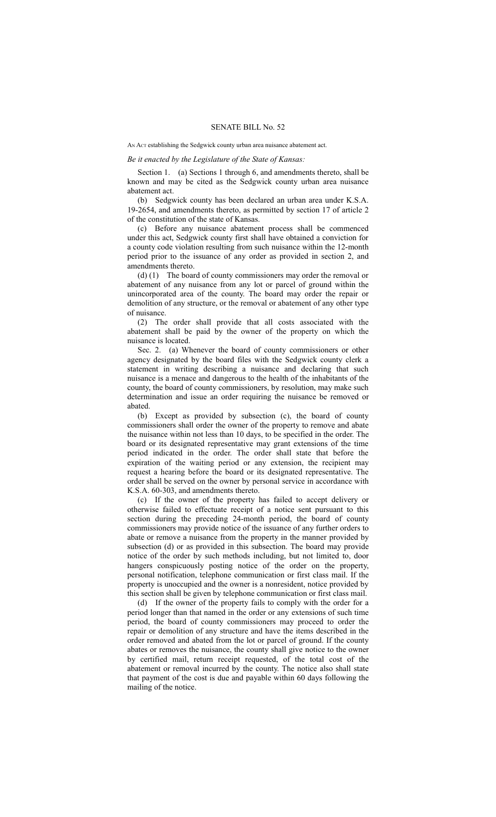## SENATE BILL No. 52

## AN Act establishing the Sedgwick county urban area nuisance abatement act.

## *Be it enacted by the Legislature of the State of Kansas:*

Section 1. (a) Sections 1 through 6, and amendments thereto, shall be known and may be cited as the Sedgwick county urban area nuisance abatement act.

(b) Sedgwick county has been declared an urban area under K.S.A. 19-2654, and amendments thereto, as permitted by section 17 of article 2 of the constitution of the state of Kansas.

(c) Before any nuisance abatement process shall be commenced under this act, Sedgwick county first shall have obtained a conviction for a county code violation resulting from such nuisance within the 12-month period prior to the issuance of any order as provided in section 2, and amendments thereto.

(d) (1) The board of county commissioners may order the removal or abatement of any nuisance from any lot or parcel of ground within the unincorporated area of the county. The board may order the repair or demolition of any structure, or the removal or abatement of any other type of nuisance.

(2) The order shall provide that all costs associated with the abatement shall be paid by the owner of the property on which the nuisance is located.

Sec. 2. (a) Whenever the board of county commissioners or other agency designated by the board files with the Sedgwick county clerk a statement in writing describing a nuisance and declaring that such nuisance is a menace and dangerous to the health of the inhabitants of the county, the board of county commissioners, by resolution, may make such determination and issue an order requiring the nuisance be removed or abated.

(b) Except as provided by subsection (c), the board of county commissioners shall order the owner of the property to remove and abate the nuisance within not less than 10 days, to be specified in the order. The board or its designated representative may grant extensions of the time period indicated in the order. The order shall state that before the expiration of the waiting period or any extension, the recipient may request a hearing before the board or its designated representative. The order shall be served on the owner by personal service in accordance with K.S.A. 60-303, and amendments thereto.

(c) If the owner of the property has failed to accept delivery or otherwise failed to effectuate receipt of a notice sent pursuant to this section during the preceding 24-month period, the board of county commissioners may provide notice of the issuance of any further orders to abate or remove a nuisance from the property in the manner provided by subsection (d) or as provided in this subsection. The board may provide notice of the order by such methods including, but not limited to, door hangers conspicuously posting notice of the order on the property, personal notification, telephone communication or first class mail. If the property is unoccupied and the owner is a nonresident, notice provided by this section shall be given by telephone communication or first class mail.

(d) If the owner of the property fails to comply with the order for a period longer than that named in the order or any extensions of such time period, the board of county commissioners may proceed to order the repair or demolition of any structure and have the items described in the order removed and abated from the lot or parcel of ground. If the county abates or removes the nuisance, the county shall give notice to the owner by certified mail, return receipt requested, of the total cost of the abatement or removal incurred by the county. The notice also shall state that payment of the cost is due and payable within 60 days following the mailing of the notice.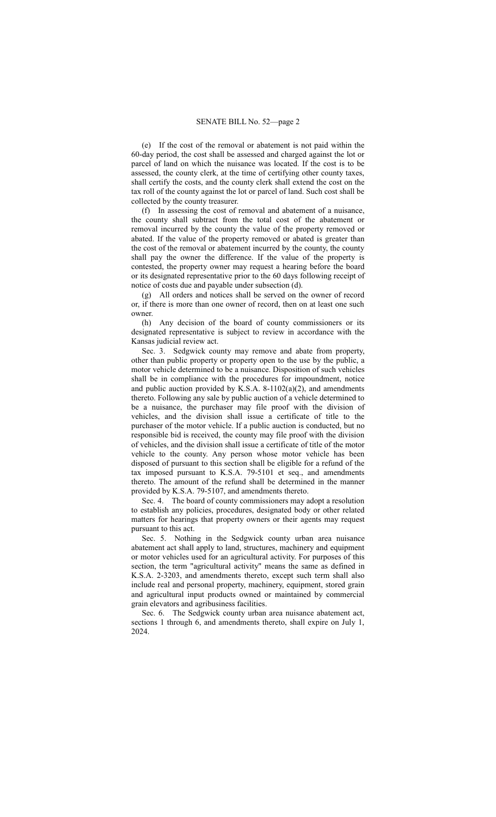(e) If the cost of the removal or abatement is not paid within the 60-day period, the cost shall be assessed and charged against the lot or parcel of land on which the nuisance was located. If the cost is to be assessed, the county clerk, at the time of certifying other county taxes, shall certify the costs, and the county clerk shall extend the cost on the tax roll of the county against the lot or parcel of land. Such cost shall be collected by the county treasurer.

(f) In assessing the cost of removal and abatement of a nuisance, the county shall subtract from the total cost of the abatement or removal incurred by the county the value of the property removed or abated. If the value of the property removed or abated is greater than the cost of the removal or abatement incurred by the county, the county shall pay the owner the difference. If the value of the property is contested, the property owner may request a hearing before the board or its designated representative prior to the 60 days following receipt of notice of costs due and payable under subsection (d).

(g) All orders and notices shall be served on the owner of record or, if there is more than one owner of record, then on at least one such owner.

(h) Any decision of the board of county commissioners or its designated representative is subject to review in accordance with the Kansas judicial review act.

Sec. 3. Sedgwick county may remove and abate from property, other than public property or property open to the use by the public, a motor vehicle determined to be a nuisance. Disposition of such vehicles shall be in compliance with the procedures for impoundment, notice and public auction provided by K.S.A. 8-1102(a)(2), and amendments thereto. Following any sale by public auction of a vehicle determined to be a nuisance, the purchaser may file proof with the division of vehicles, and the division shall issue a certificate of title to the purchaser of the motor vehicle. If a public auction is conducted, but no responsible bid is received, the county may file proof with the division of vehicles, and the division shall issue a certificate of title of the motor vehicle to the county. Any person whose motor vehicle has been disposed of pursuant to this section shall be eligible for a refund of the tax imposed pursuant to K.S.A. 79-5101 et seq., and amendments thereto. The amount of the refund shall be determined in the manner provided by K.S.A. 79-5107, and amendments thereto.

Sec. 4. The board of county commissioners may adopt a resolution to establish any policies, procedures, designated body or other related matters for hearings that property owners or their agents may request pursuant to this act.

Sec. 5. Nothing in the Sedgwick county urban area nuisance abatement act shall apply to land, structures, machinery and equipment or motor vehicles used for an agricultural activity. For purposes of this section, the term "agricultural activity" means the same as defined in K.S.A. 2-3203, and amendments thereto, except such term shall also include real and personal property, machinery, equipment, stored grain and agricultural input products owned or maintained by commercial grain elevators and agribusiness facilities.

Sec. 6. The Sedgwick county urban area nuisance abatement act, sections 1 through 6, and amendments thereto, shall expire on July 1, 2024.